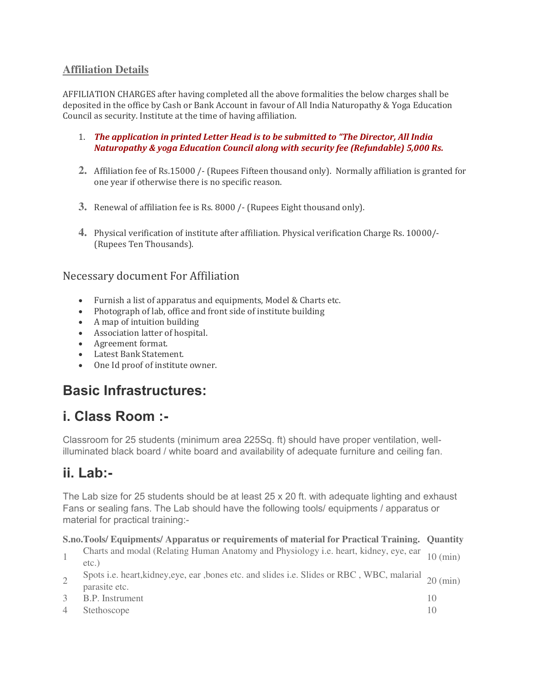### **Affiliation Details**

AFFILIATION CHARGES after having completed all the above formalities the below charges shall be deposited in the office by Cash or Bank Account in favour of All India Naturopathy & Yoga Education Council as security. Institute at the time of having affiliation.

- 1. *The application in printed Letter Head is to be submitted to "The Director, All India Naturopathy & yoga Education Council along with security fee (Refundable) 5,000 Rs.*
- **2.** Affiliation fee of Rs.15000 /- (Rupees Fifteen thousand only). Normally affiliation is granted for one year if otherwise there is no specific reason.
- **3.** Renewal of affiliation fee is Rs. 8000 /- (Rupees Eight thousand only).
- **4.** Physical verification of institute after affiliation. Physical verification Charge Rs. 10000/- (Rupees Ten Thousands).

### Necessary document For Affiliation

- Furnish a list of apparatus and equipments, Model & Charts etc.
- Photograph of lab, office and front side of institute building
- A map of intuition building
- Association latter of hospital.
- Agreement format.
- Latest Bank Statement.
- One Id proof of institute owner.

## **Basic Infrastructures:**

# **i. Class Room :-**

Classroom for 25 students (minimum area 225Sq. ft) should have proper ventilation, wellilluminated black board / white board and availability of adequate furniture and ceiling fan.

## **ii. Lab:-**

The Lab size for 25 students should be at least 25 x 20 ft. with adequate lighting and exhaust Fans or sealing fans. The Lab should have the following tools/ equipments / apparatus or material for practical training:-

#### **S.no. Tools/ Equipments/ Apparatus or requirements of material for Practical Training. Quantity**

- <sup>1</sup>Charts and modal (Relating Human Anatomy and Physiology i.e. heart, kidney, eye, ear etc.) 10 (min)
- Spots i.e. heart, kidney, eye, ear , bones etc. and slides i.e. Slides or RBC, WBC, malarial 20 (min) parasite etc.
- 3 B.P. Instrument 10
- 4 Stethoscope 10